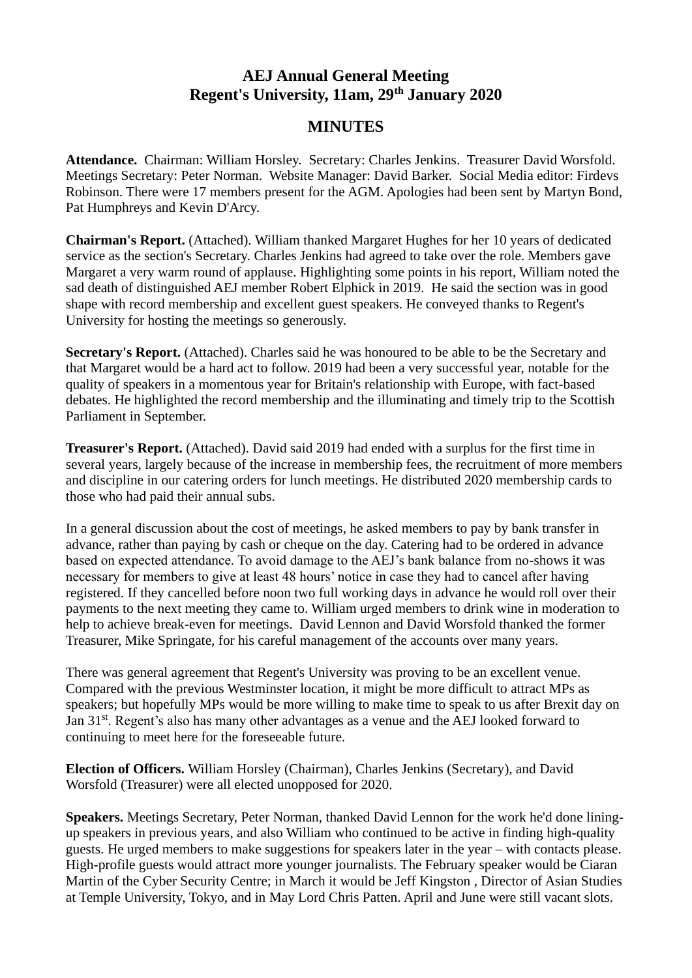## **AEJ Annual General Meeting Regent's University, 11am, 29th January 2020**

## **MINUTES**

**Attendance.** Chairman: William Horsley. Secretary: Charles Jenkins. Treasurer David Worsfold. Meetings Secretary: Peter Norman. Website Manager: David Barker. Social Media editor: Firdevs Robinson. There were 17 members present for the AGM. Apologies had been sent by Martyn Bond, Pat Humphreys and Kevin D'Arcy.

**Chairman's Report.** (Attached). William thanked Margaret Hughes for her 10 years of dedicated service as the section's Secretary. Charles Jenkins had agreed to take over the role. Members gave Margaret a very warm round of applause. Highlighting some points in his report, William noted the sad death of distinguished AEJ member Robert Elphick in 2019. He said the section was in good shape with record membership and excellent guest speakers. He conveyed thanks to Regent's University for hosting the meetings so generously.

Secretary's Report. (Attached). Charles said he was honoured to be able to be the Secretary and that Margaret would be a hard act to follow. 2019 had been a very successful year, notable for the quality of speakers in a momentous year for Britain's relationship with Europe, with fact-based debates. He highlighted the record membership and the illuminating and timely trip to the Scottish Parliament in September.

**Treasurer's Report.** (Attached). David said 2019 had ended with a surplus for the first time in several years, largely because of the increase in membership fees, the recruitment of more members and discipline in our catering orders for lunch meetings. He distributed 2020 membership cards to those who had paid their annual subs.

In a general discussion about the cost of meetings, he asked members to pay by bank transfer in advance, rather than paying by cash or cheque on the day. Catering had to be ordered in advance based on expected attendance. To avoid damage to the AEJ's bank balance from no-shows it was necessary for members to give at least 48 hours' notice in case they had to cancel after having registered. If they cancelled before noon two full working days in advance he would roll over their payments to the next meeting they came to. William urged members to drink wine in moderation to help to achieve break-even for meetings. David Lennon and David Worsfold thanked the former Treasurer, Mike Springate, for his careful management of the accounts over many years.

There was general agreement that Regent's University was proving to be an excellent venue. Compared with the previous Westminster location, it might be more difficult to attract MPs as speakers; but hopefully MPs would be more willing to make time to speak to us after Brexit day on Jan 31<sup>st</sup>. Regent's also has many other advantages as a venue and the AEJ looked forward to continuing to meet here for the foreseeable future.

**Election of Officers.** William Horsley (Chairman), Charles Jenkins (Secretary), and David Worsfold (Treasurer) were all elected unopposed for 2020.

**Speakers.** Meetings Secretary, Peter Norman, thanked David Lennon for the work he'd done liningup speakers in previous years, and also William who continued to be active in finding high-quality guests. He urged members to make suggestions for speakers later in the year – with contacts please. High-profile guests would attract more younger journalists. The February speaker would be Ciaran Martin of the Cyber Security Centre; in March it would be Jeff Kingston , Director of Asian Studies at Temple University, Tokyo, and in May Lord Chris Patten. April and June were still vacant slots.